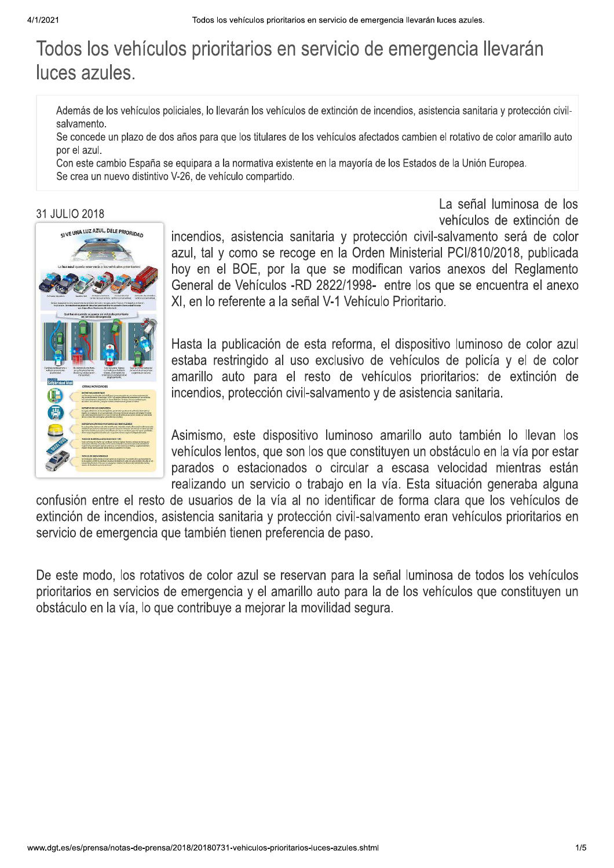# Todos los vehículos prioritarios en servicio de emergencia llevarán luces azules.

Además de los vehículos policiales, lo llevarán los vehículos de extinción de incendios, asistencia sanitaria y protección civilsalvamento.

Se concede un plazo de dos años para que los titulares de los vehículos afectados cambien el rotativo de color amarillo auto por el azul.

Con este cambio España se equipara a la normativa existente en la mayoría de los Estados de la Unión Europea. Se crea un nuevo distintivo V-26, de vehículo compartido.

#### 31 JULIO 2018



vehículos de extinción de incendios, asistencia sanitaria y protección civil-salvamento será de color azul, tal y como se recoge en la Orden Ministerial PCI/810/2018, publicada hoy en el BOE, por la que se modifican varios anexos del Reglamento General de Vehículos -RD 2822/1998- entre los que se encuentra el anexo XI, en lo referente a la señal V-1 Vehículo Prioritario.

La señal luminosa de los

Hasta la publicación de esta reforma, el dispositivo luminoso de color azul estaba restringido al uso exclusivo de vehículos de policía y el de color amarillo auto para el resto de vehículos prioritarios: de extinción de incendios, protección civil-salvamento y de asistencia sanitaria.

Asimismo, este dispositivo luminoso amarillo auto también lo llevan los vehículos lentos, que son los que constituyen un obstáculo en la vía por estar parados o estacionados o circular a escasa velocidad mientras están realizando un servicio o trabajo en la vía. Esta situación generaba alguna

confusión entre el resto de usuarios de la vía al no identificar de forma clara que los vehículos de extinción de incendios, asistencia sanitaria y protección civil-salvamento eran vehículos prioritarios en servicio de emergencia que también tienen preferencia de paso.

De este modo, los rotativos de color azul se reservan para la señal luminosa de todos los vehículos prioritarios en servicios de emergencia y el amarillo auto para la de los vehículos que constituyen un obstáculo en la vía, lo que contribuye a mejorar la movilidad segura.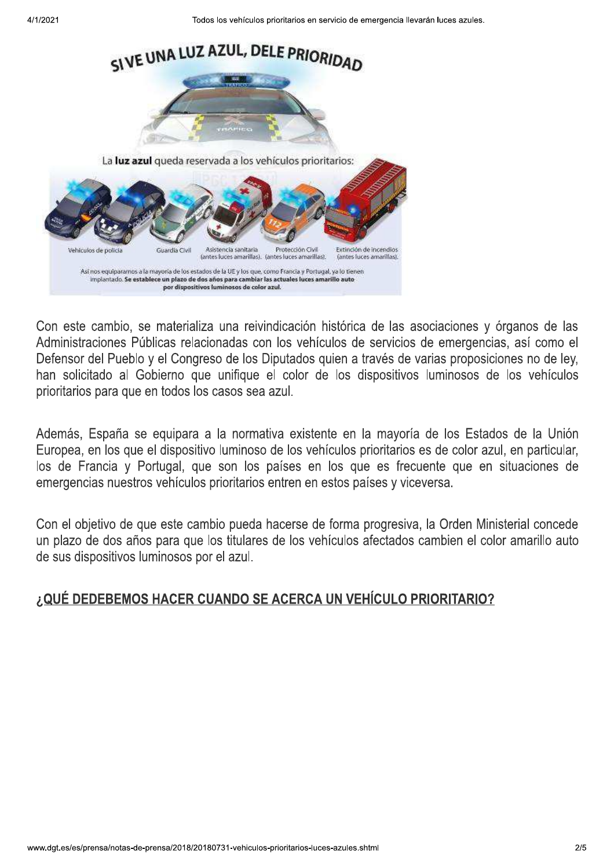

Con este cambio, se materializa una reivindicación histórica de las asociaciones y órganos de las Administraciones Públicas relacionadas con los vehículos de servicios de emergencias, así como el Defensor del Pueblo y el Congreso de los Diputados quien a través de varias proposiciones no de ley, han solicitado al Gobierno que unifique el color de los dispositivos luminosos de los vehículos prioritarios para que en todos los casos sea azul.

Además, España se equipara a la normativa existente en la mayoría de los Estados de la Unión Europea, en los que el dispositivo luminoso de los vehículos prioritarios es de color azul, en particular, los de Francia y Portugal, que son los países en los que es frecuente que en situaciones de emergencias nuestros vehículos prioritarios entren en estos países y viceversa.

Con el objetivo de que este cambio pueda hacerse de forma progresiva, la Orden Ministerial concede un plazo de dos años para que los titulares de los vehículos afectados cambien el color amarillo auto de sus dispositivos luminosos por el azul.

### ¿QUÉ DEDEBEMOS HACER CUANDO SE ACERCA UN VEHÍCULO PRIORITARIO?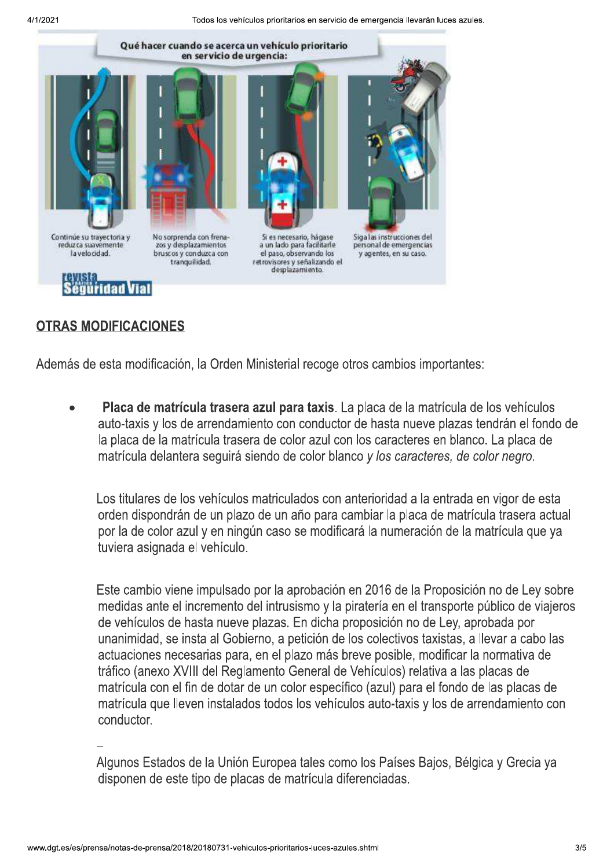Todos los vehículos prioritarios en servicio de emergencia llevarán luces azules.



#### **OTRAS MODIFICACIONES**

Además de esta modificación, la Orden Ministerial recoge otros cambios importantes:

Placa de matrícula trasera azul para taxis. La placa de la matrícula de los vehículos auto-taxis y los de arrendamiento con conductor de hasta nueve plazas tendrán el fondo de la placa de la matrícula trasera de color azul con los caracteres en blanco. La placa de matrícula delantera seguirá siendo de color blanco y los caracteres, de color negro.

Los titulares de los vehículos matriculados con anterioridad a la entrada en vigor de esta orden dispondrán de un plazo de un año para cambiar la placa de matrícula trasera actual por la de color azul y en ningún caso se modificará la numeración de la matrícula que ya tuviera asignada el vehículo.

Este cambio viene impulsado por la aprobación en 2016 de la Proposición no de Ley sobre medidas ante el incremento del intrusismo y la piratería en el transporte público de viajeros de vehículos de hasta nueve plazas. En dicha proposición no de Ley, aprobada por unanimidad, se insta al Gobierno, a petición de los colectivos taxistas, a llevar a cabo las actuaciones necesarias para, en el plazo más breve posible, modificar la normativa de tráfico (anexo XVIII del Reglamento General de Vehículos) relativa a las placas de matrícula con el fin de dotar de un color específico (azul) para el fondo de las placas de matrícula que lleven instalados todos los vehículos auto-taxis y los de arrendamiento con conductor.

Algunos Estados de la Unión Europea tales como los Países Baios, Bélgica y Grecia va disponen de este tipo de placas de matrícula diferenciadas.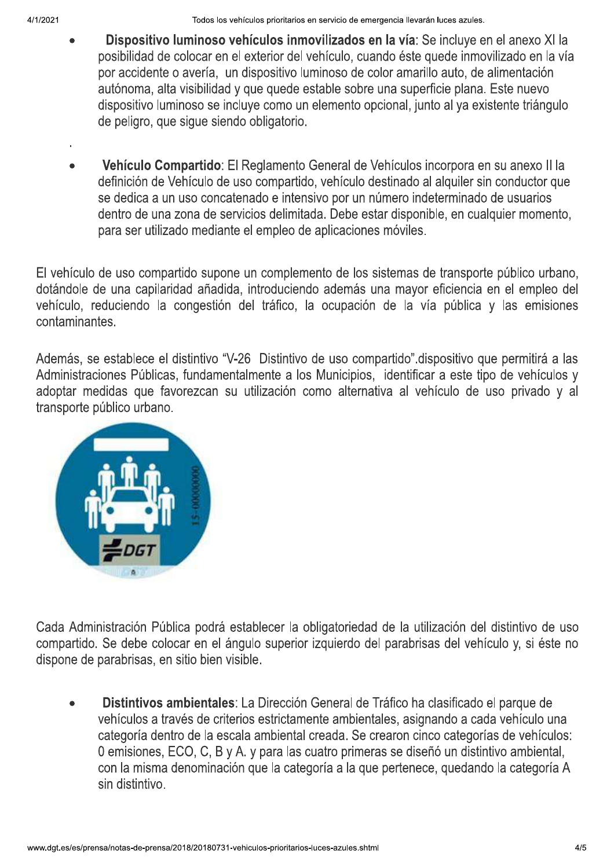Todos los vehículos prioritarios en servicio de emergencia llevarán luces azules.

- Dispositivo luminoso vehículos inmovilizados en la vía: Se incluve en el anexo XI la posibilidad de colocar en el exterior del vehículo, cuando éste quede inmovilizado en la vía por accidente o avería, un dispositivo luminoso de color amarillo auto, de alimentación autónoma, alta visibilidad y que quede estable sobre una superficie plana. Este nuevo dispositivo luminoso se incluye como un elemento opcional, junto al ya existente triángulo de peligro, que sigue siendo obligatorio.
- Vehículo Compartido: El Reglamento General de Vehículos incorpora en su anexo II la definición de Vehículo de uso compartido, vehículo destinado al alguiler sin conductor que se dedica a un uso concatenado e intensivo por un número indeterminado de usuarios dentro de una zona de servicios delimitada. Debe estar disponible, en cualquier momento, para ser utilizado mediante el empleo de aplicaciones móviles.

El vehículo de uso compartido supone un complemento de los sistemas de transporte público urbano. dotándole de una capilaridad añadida, introduciendo además una mayor eficiencia en el empleo del vehículo, reduciendo la congestión del tráfico, la ocupación de la vía pública y las emisiones contaminantes.

Además, se establece el distintivo "V-26 Distintivo de uso compartido" dispositivo que permitirá a las Administraciones Públicas, fundamentalmente a los Municipios, identificar a este tipo de vehículos y adoptar medidas que favorezcan su utilización como alternativa al vehículo de uso privado y al transporte público urbano.



Cada Administración Pública podrá establecer la obligatoriedad de la utilización del distintivo de uso compartido. Se debe colocar en el ángulo superior izquierdo del parabrisas del vehículo y, si éste no dispone de parabrisas, en sitio bien visible.

Distintivos ambientales: La Dirección General de Tráfico ha clasificado el parque de vehículos a través de criterios estrictamente ambientales, asignando a cada vehículo una categoría dentro de la escala ambiental creada. Se crearon cinco categorías de vehículos: 0 emisiones, ECO, C, B y A. y para las cuatro primeras se diseñó un distintivo ambiental, con la misma denominación que la categoría a la que pertenece, quedando la categoría A sin distintivo.